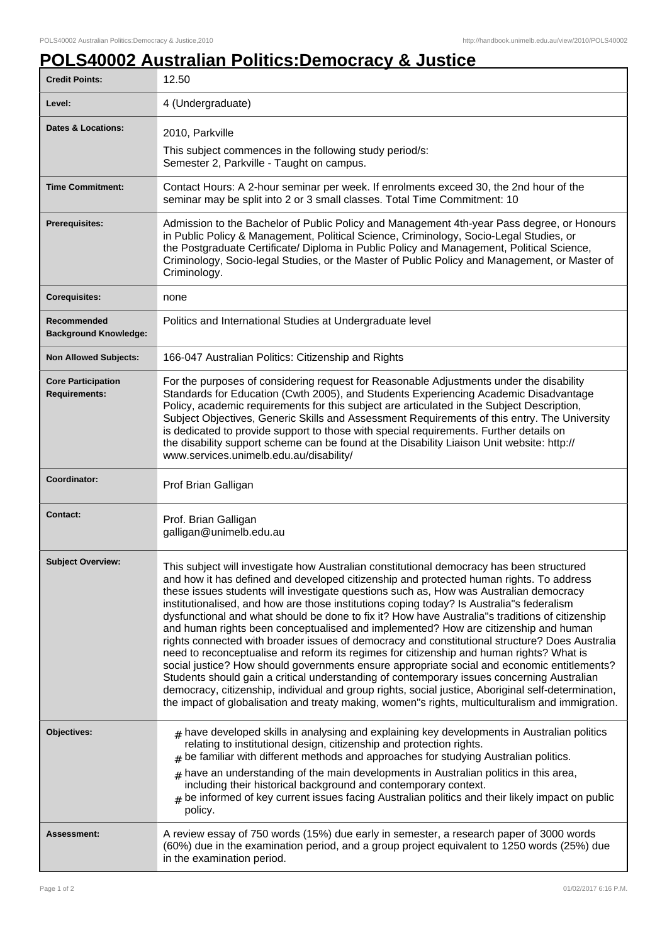## **POLS40002 Australian Politics:Democracy & Justice**

| <b>Credit Points:</b>                             | 12.50                                                                                                                                                                                                                                                                                                                                                                                                                                                                                                                                                                                                                                                                                                                                                                                                                                                                                                                                                                                                                                                                                                                                                                       |
|---------------------------------------------------|-----------------------------------------------------------------------------------------------------------------------------------------------------------------------------------------------------------------------------------------------------------------------------------------------------------------------------------------------------------------------------------------------------------------------------------------------------------------------------------------------------------------------------------------------------------------------------------------------------------------------------------------------------------------------------------------------------------------------------------------------------------------------------------------------------------------------------------------------------------------------------------------------------------------------------------------------------------------------------------------------------------------------------------------------------------------------------------------------------------------------------------------------------------------------------|
| Level:                                            | 4 (Undergraduate)                                                                                                                                                                                                                                                                                                                                                                                                                                                                                                                                                                                                                                                                                                                                                                                                                                                                                                                                                                                                                                                                                                                                                           |
| <b>Dates &amp; Locations:</b>                     | 2010, Parkville<br>This subject commences in the following study period/s:<br>Semester 2, Parkville - Taught on campus.                                                                                                                                                                                                                                                                                                                                                                                                                                                                                                                                                                                                                                                                                                                                                                                                                                                                                                                                                                                                                                                     |
| <b>Time Commitment:</b>                           | Contact Hours: A 2-hour seminar per week. If enrolments exceed 30, the 2nd hour of the<br>seminar may be split into 2 or 3 small classes. Total Time Commitment: 10                                                                                                                                                                                                                                                                                                                                                                                                                                                                                                                                                                                                                                                                                                                                                                                                                                                                                                                                                                                                         |
| <b>Prerequisites:</b>                             | Admission to the Bachelor of Public Policy and Management 4th-year Pass degree, or Honours<br>in Public Policy & Management, Political Science, Criminology, Socio-Legal Studies, or<br>the Postgraduate Certificate/ Diploma in Public Policy and Management, Political Science,<br>Criminology, Socio-legal Studies, or the Master of Public Policy and Management, or Master of<br>Criminology.                                                                                                                                                                                                                                                                                                                                                                                                                                                                                                                                                                                                                                                                                                                                                                          |
| <b>Corequisites:</b>                              | none                                                                                                                                                                                                                                                                                                                                                                                                                                                                                                                                                                                                                                                                                                                                                                                                                                                                                                                                                                                                                                                                                                                                                                        |
| Recommended<br><b>Background Knowledge:</b>       | Politics and International Studies at Undergraduate level                                                                                                                                                                                                                                                                                                                                                                                                                                                                                                                                                                                                                                                                                                                                                                                                                                                                                                                                                                                                                                                                                                                   |
| <b>Non Allowed Subjects:</b>                      | 166-047 Australian Politics: Citizenship and Rights                                                                                                                                                                                                                                                                                                                                                                                                                                                                                                                                                                                                                                                                                                                                                                                                                                                                                                                                                                                                                                                                                                                         |
| <b>Core Participation</b><br><b>Requirements:</b> | For the purposes of considering request for Reasonable Adjustments under the disability<br>Standards for Education (Cwth 2005), and Students Experiencing Academic Disadvantage<br>Policy, academic requirements for this subject are articulated in the Subject Description,<br>Subject Objectives, Generic Skills and Assessment Requirements of this entry. The University<br>is dedicated to provide support to those with special requirements. Further details on<br>the disability support scheme can be found at the Disability Liaison Unit website: http://<br>www.services.unimelb.edu.au/disability/                                                                                                                                                                                                                                                                                                                                                                                                                                                                                                                                                            |
|                                                   |                                                                                                                                                                                                                                                                                                                                                                                                                                                                                                                                                                                                                                                                                                                                                                                                                                                                                                                                                                                                                                                                                                                                                                             |
| Coordinator:                                      | Prof Brian Galligan                                                                                                                                                                                                                                                                                                                                                                                                                                                                                                                                                                                                                                                                                                                                                                                                                                                                                                                                                                                                                                                                                                                                                         |
| <b>Contact:</b>                                   | Prof. Brian Galligan<br>galligan@unimelb.edu.au                                                                                                                                                                                                                                                                                                                                                                                                                                                                                                                                                                                                                                                                                                                                                                                                                                                                                                                                                                                                                                                                                                                             |
| <b>Subject Overview:</b>                          | This subject will investigate how Australian constitutional democracy has been structured<br>and how it has defined and developed citizenship and protected human rights. To address<br>these issues students will investigate questions such as, How was Australian democracy<br>institutionalised, and how are those institutions coping today? Is Australia"s federalism<br>dysfunctional and what should be done to fix it? How have Australia"s traditions of citizenship<br>and human rights been conceptualised and implemented? How are citizenship and human<br>rights connected with broader issues of democracy and constitutional structure? Does Australia<br>need to reconceptualise and reform its regimes for citizenship and human rights? What is<br>social justice? How should governments ensure appropriate social and economic entitlements?<br>Students should gain a critical understanding of contemporary issues concerning Australian<br>democracy, citizenship, individual and group rights, social justice, Aboriginal self-determination,<br>the impact of globalisation and treaty making, women"s rights, multiculturalism and immigration. |
| Objectives:                                       | $_{\#}$ have developed skills in analysing and explaining key developments in Australian politics<br>relating to institutional design, citizenship and protection rights.<br>be familiar with different methods and approaches for studying Australian politics.<br>have an understanding of the main developments in Australian politics in this area,<br>$\pm$<br>including their historical background and contemporary context.<br>be informed of key current issues facing Australian politics and their likely impact on public<br>#<br>policy.                                                                                                                                                                                                                                                                                                                                                                                                                                                                                                                                                                                                                       |